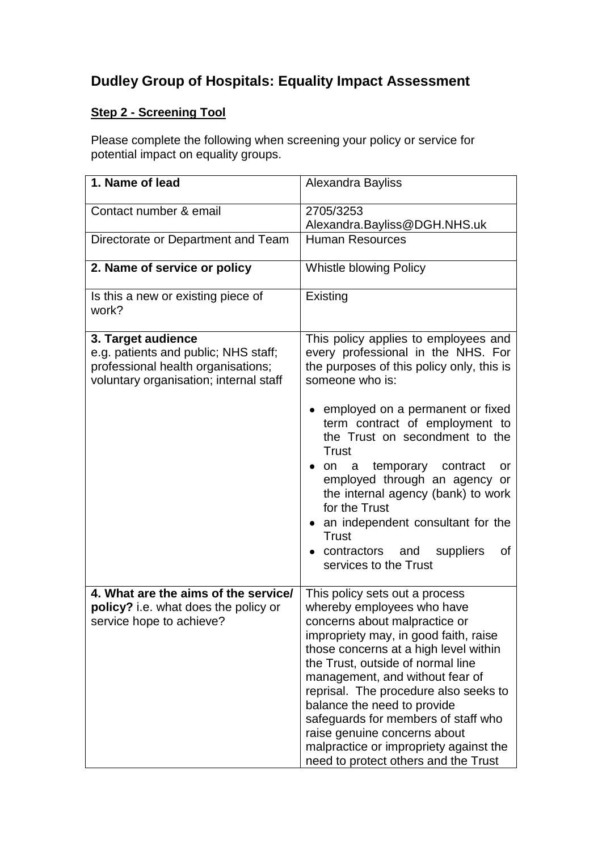## **Dudley Group of Hospitals: Equality Impact Assessment**

## **Step 2 - Screening Tool**

Please complete the following when screening your policy or service for potential impact on equality groups.

| 1. Name of lead                                                                                                                            | Alexandra Bayliss                                                                                                                                                                                                                                                                                                                                                                                                                                                                        |
|--------------------------------------------------------------------------------------------------------------------------------------------|------------------------------------------------------------------------------------------------------------------------------------------------------------------------------------------------------------------------------------------------------------------------------------------------------------------------------------------------------------------------------------------------------------------------------------------------------------------------------------------|
| Contact number & email                                                                                                                     | 2705/3253<br>Alexandra.Bayliss@DGH.NHS.uk                                                                                                                                                                                                                                                                                                                                                                                                                                                |
| Directorate or Department and Team                                                                                                         | <b>Human Resources</b>                                                                                                                                                                                                                                                                                                                                                                                                                                                                   |
| 2. Name of service or policy                                                                                                               | Whistle blowing Policy                                                                                                                                                                                                                                                                                                                                                                                                                                                                   |
| Is this a new or existing piece of<br>work?                                                                                                | Existing                                                                                                                                                                                                                                                                                                                                                                                                                                                                                 |
| 3. Target audience<br>e.g. patients and public; NHS staff;<br>professional health organisations;<br>voluntary organisation; internal staff | This policy applies to employees and<br>every professional in the NHS. For<br>the purposes of this policy only, this is<br>someone who is:<br>employed on a permanent or fixed                                                                                                                                                                                                                                                                                                           |
|                                                                                                                                            | term contract of employment to<br>the Trust on secondment to the<br>Trust<br>• on a temporary contract<br>or<br>employed through an agency or<br>the internal agency (bank) to work<br>for the Trust<br>• an independent consultant for the<br><b>Trust</b><br>contractors and<br>suppliers<br>οf<br>services to the Trust                                                                                                                                                               |
| 4. What are the aims of the service/<br>policy? i.e. what does the policy or<br>service hope to achieve?                                   | This policy sets out a process<br>whereby employees who have<br>concerns about malpractice or<br>impropriety may, in good faith, raise<br>those concerns at a high level within<br>the Trust, outside of normal line<br>management, and without fear of<br>reprisal. The procedure also seeks to<br>balance the need to provide<br>safeguards for members of staff who<br>raise genuine concerns about<br>malpractice or impropriety against the<br>need to protect others and the Trust |